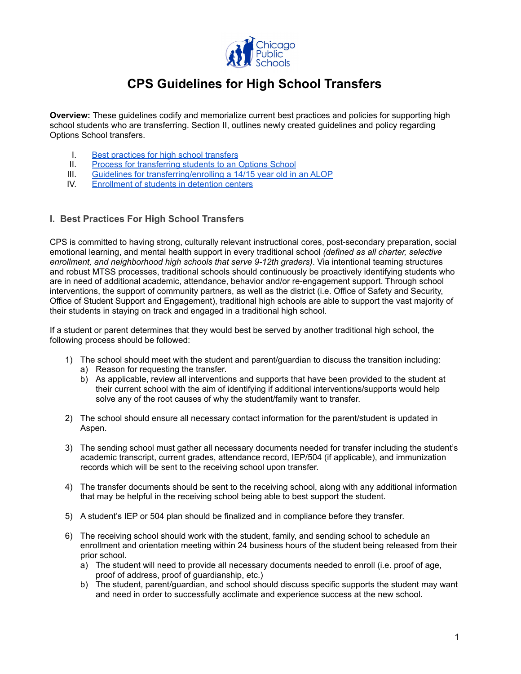

# **CPS Guidelines for High School Transfers**

**Overview:** These guidelines codify and memorialize current best practices and policies for supporting high school students who are transferring. Section II, outlines newly created guidelines and policy regarding Options School transfers.

- I. Best [practices](#page-0-0) for high school transfers
- II. Process for [transferring](#page-1-0) students to an Options School
- III. Guidelines for [transferring/enrolling](#page-3-0) a 14/15 year old in an ALOP
- IV. [Enrollment](#page-3-1) of students in detention centers

#### <span id="page-0-0"></span>**I. Best Practices For High School Transfers**

CPS is committed to having strong, culturally relevant instructional cores, post-secondary preparation, social emotional learning, and mental health support in every traditional school *(defined as all charter, selective enrollment, and neighborhood high schools that serve 9-12th graders)*. Via intentional teaming structures and robust MTSS processes, traditional schools should continuously be proactively identifying students who are in need of additional academic, attendance, behavior and/or re-engagement support. Through school interventions, the support of community partners, as well as the district (i.e. Office of Safety and Security, Office of Student Support and Engagement), traditional high schools are able to support the vast majority of their students in staying on track and engaged in a traditional high school.

If a student or parent determines that they would best be served by another traditional high school, the following process should be followed:

- 1) The school should meet with the student and parent/guardian to discuss the transition including:
	- a) Reason for requesting the transfer.
	- b) As applicable, review all interventions and supports that have been provided to the student at their current school with the aim of identifying if additional interventions/supports would help solve any of the root causes of why the student/family want to transfer.
- 2) The school should ensure all necessary contact information for the parent/student is updated in Aspen.
- 3) The sending school must gather all necessary documents needed for transfer including the student's academic transcript, current grades, attendance record, IEP/504 (if applicable), and immunization records which will be sent to the receiving school upon transfer.
- 4) The transfer documents should be sent to the receiving school, along with any additional information that may be helpful in the receiving school being able to best support the student.
- 5) A student's IEP or 504 plan should be finalized and in compliance before they transfer.
- 6) The receiving school should work with the student, family, and sending school to schedule an enrollment and orientation meeting within 24 business hours of the student being released from their prior school.
	- a) The student will need to provide all necessary documents needed to enroll (i.e. proof of age, proof of address, proof of guardianship, etc.)
	- b) The student, parent/guardian, and school should discuss specific supports the student may want and need in order to successfully acclimate and experience success at the new school.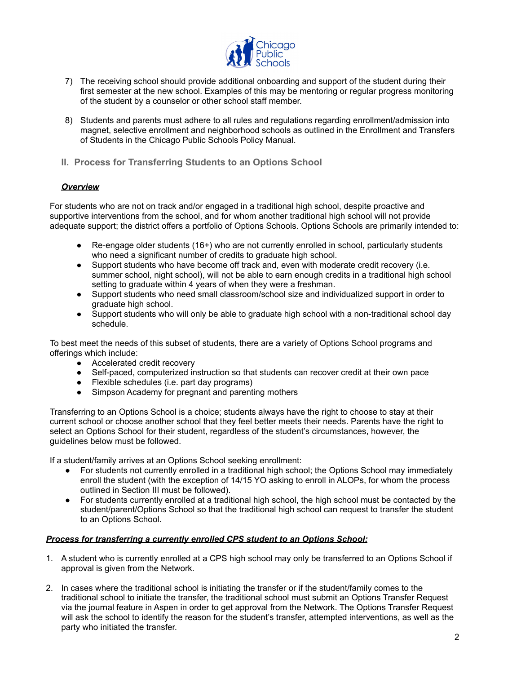

- 7) The receiving school should provide additional onboarding and support of the student during their first semester at the new school. Examples of this may be mentoring or regular progress monitoring of the student by a counselor or other school staff member.
- 8) Students and parents must adhere to all rules and regulations regarding enrollment/admission into magnet, selective enrollment and neighborhood schools as outlined in the Enrollment and Transfers of Students in the Chicago Public Schools Policy Manual.
- <span id="page-1-0"></span>**II. Process for Transferring Students to an Options School**

## *Overview*

For students who are not on track and/or engaged in a traditional high school, despite proactive and supportive interventions from the school, and for whom another traditional high school will not provide adequate support; the district offers a portfolio of Options Schools. Options Schools are primarily intended to:

- Re-engage older students (16+) who are not currently enrolled in school, particularly students who need a significant number of credits to graduate high school.
- Support students who have become off track and, even with moderate credit recovery (i.e. summer school, night school), will not be able to earn enough credits in a traditional high school setting to graduate within 4 years of when they were a freshman.
- Support students who need small classroom/school size and individualized support in order to graduate high school.
- Support students who will only be able to graduate high school with a non-traditional school day schedule.

To best meet the needs of this subset of students, there are a variety of Options School programs and offerings which include:

- Accelerated credit recovery
- Self-paced, computerized instruction so that students can recover credit at their own pace
- Flexible schedules (i.e. part day programs)
- Simpson Academy for pregnant and parenting mothers

Transferring to an Options School is a choice; students always have the right to choose to stay at their current school or choose another school that they feel better meets their needs. Parents have the right to select an Options School for their student, regardless of the student's circumstances, however, the guidelines below must be followed.

If a student/family arrives at an Options School seeking enrollment:

- For students not currently enrolled in a traditional high school; the Options School may immediately enroll the student (with the exception of 14/15 YO asking to enroll in ALOPs, for whom the process outlined in Section III must be followed).
- For students currently enrolled at a traditional high school, the high school must be contacted by the student/parent/Options School so that the traditional high school can request to transfer the student to an Options School.

#### *Process for transferring a currently enrolled CPS student to an Options School:*

- 1. A student who is currently enrolled at a CPS high school may only be transferred to an Options School if approval is given from the Network.
- 2. In cases where the traditional school is initiating the transfer or if the student/family comes to the traditional school to initiate the transfer, the traditional school must submit an Options Transfer Request via the journal feature in Aspen in order to get approval from the Network. The Options Transfer Request will ask the school to identify the reason for the student's transfer, attempted interventions, as well as the party who initiated the transfer.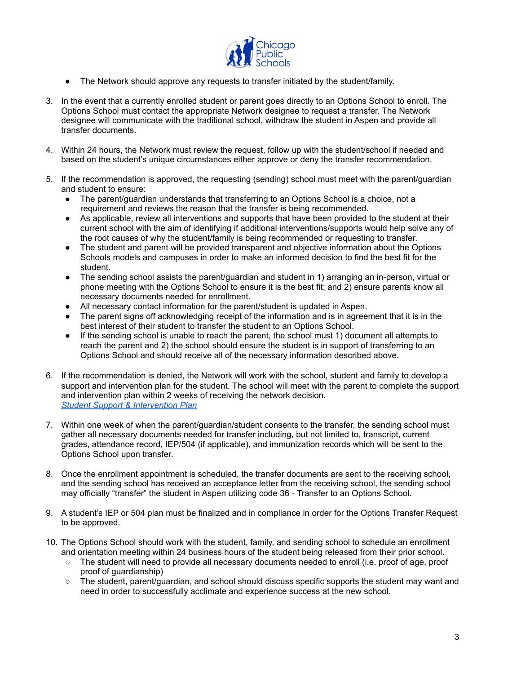

- The Network should approve any requests to transfer initiated by the student/family.
- 3. In the event that a currently enrolled student or parent goes directly to an Options School to enroll. The Options School must contact the appropriate Network designee to request a transfer. The Network designee will communicate with the traditional school, withdraw the student in Aspen and provide all transfer documents.
- 4. Within 24 hours, the Network must review the request, follow up with the student/school if needed and based on the student's unique circumstances either approve or deny the transfer recommendation.
- 5. If the recommendation is approved, the requesting (sending) school must meet with the parent/guardian and student to ensure:
	- The parent/guardian understands that transferring to an Options School is a choice, not a requirement and reviews the reason that the transfer is being recommended.
	- As applicable, review all interventions and supports that have been provided to the student at their current school with the aim of identifying if additional interventions/supports would help solve any of the root causes of why the student/family is being recommended or requesting to transfer.
	- The student and parent will be provided transparent and objective information about the Options Schools models and campuses in order to make an informed decision to find the best fit for the student.
	- The sending school assists the parent/guardian and student in 1) arranging an in-person, virtual or phone meeting with the Options School to ensure it is the best fit; and 2) ensure parents know all necessary documents needed for enrollment.
	- All necessary contact information for the parent/student is updated in Aspen.
	- The parent signs off acknowledging receipt of the information and is in agreement that it is in the best interest of their student to transfer the student to an Options School.
	- If the sending school is unable to reach the parent, the school must 1) document all attempts to reach the parent and 2) the school should ensure the student is in support of transferring to an Options School and should receive all of the necessary information described above.
- 6. If the recommendation is denied, the Network will work with the school, student and family to develop a support and intervention plan for the student. The school will meet with the parent to complete the support and intervention plan within 2 weeks of receiving the network decision. *Student Support & [Intervention](https://docs.google.com/spreadsheets/d/1vuGIA8ZKaUg7v4RjYgJPkYxVqsUCVwPmB72l6v1DUbQ/copy) Plan*
- 7. Within one week of when the parent/guardian/student consents to the transfer, the sending school must gather all necessary documents needed for transfer including, but not limited to, transcript, current grades, attendance record, IEP/504 (if applicable), and immunization records which will be sent to the Options School upon transfer.
- 8. Once the enrollment appointment is scheduled, the transfer documents are sent to the receiving school, and the sending school has received an acceptance letter from the receiving school, the sending school may officially "transfer" the student in Aspen utilizing code 36 - Transfer to an Options School.
- 9. A student's IEP or 504 plan must be finalized and in compliance in order for the Options Transfer Request to be approved.
- 10. The Options School should work with the student, family, and sending school to schedule an enrollment and orientation meeting within 24 business hours of the student being released from their prior school.
	- The student will need to provide all necessary documents needed to enroll (i.e. proof of age, proof proof of guardianship)
	- The student, parent/guardian, and school should discuss specific supports the student may want and need in order to successfully acclimate and experience success at the new school.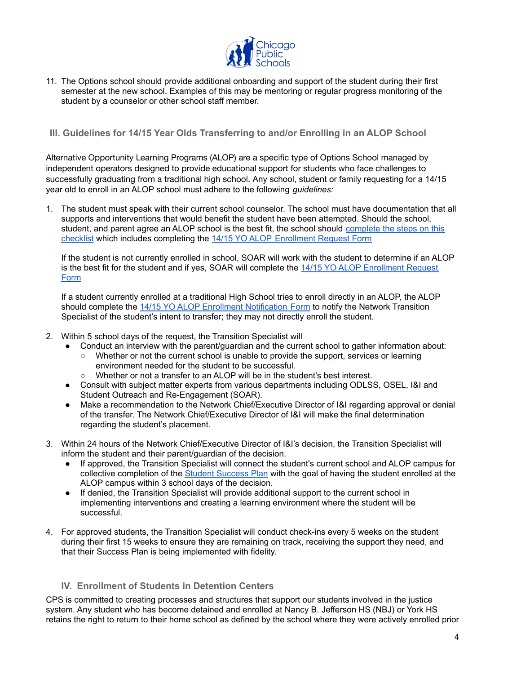

11. The Options school should provide additional onboarding and support of the student during their first semester at the new school. Examples of this may be mentoring or regular progress monitoring of the student by a counselor or other school staff member.

## <span id="page-3-0"></span>**III. Guidelines for 14/15 Year Olds Transferring to and/or Enrolling in an ALOP School**

Alternative Opportunity Learning Programs (ALOP) are a specific type of Options School managed by independent operators designed to provide educational support for students who face challenges to successfully graduating from a traditional high school. Any school, student or family requesting for a 14/15 year old to enroll in an ALOP school must adhere to the following *guidelines:*

1. The student must speak with their current school counselor. The school must have documentation that all supports and interventions that would benefit the student have been attempted. Should the school, student, and parent agree an ALOP school is the best fit, the school should [complete](https://docs.google.com/document/d/1k58NpqiuDjtg13tUYbWH0jImPpiMw5qXmag62sX5w4Y/edit) the steps on this [checklist](https://docs.google.com/document/d/1k58NpqiuDjtg13tUYbWH0jImPpiMw5qXmag62sX5w4Y/edit) which includes completing the 14/15 YO ALOP [Enrollment](https://docs.google.com/forms/d/e/1FAIpQLScAIDacx3zIXIqxJvwJ3io_uVIyYT6u8-D6vjZ4rZ5_kBDfrw/viewform?usp=sf_link) Request Form

If the student is not currently enrolled in school, SOAR will work with the student to determine if an ALOP is the best fit for the student and if yes, SOAR will complete the 14/15 YO ALOP [Enrollment](https://docs.google.com/forms/d/e/1FAIpQLScAIDacx3zIXIqxJvwJ3io_uVIyYT6u8-D6vjZ4rZ5_kBDfrw/viewform?usp=sf_link) Request [Form](https://docs.google.com/forms/d/e/1FAIpQLScAIDacx3zIXIqxJvwJ3io_uVIyYT6u8-D6vjZ4rZ5_kBDfrw/viewform?usp=sf_link)

If a student currently enrolled at a traditional High School tries to enroll directly in an ALOP, the ALOP should complete the 14/15 YO ALOP Enrollment [Notification](https://docs.google.com/forms/d/e/1FAIpQLSdra6NzMZ_5LJypwGZVQ2uJ104EwpNuz_7LtvCDjc2-pE4Zcg/viewform?usp=sf_link) Form to notify the Network Transition Specialist of the student's intent to transfer; they may not directly enroll the student.

- 2. Within 5 school days of the request, the Transition Specialist will
	- Conduct an interview with the parent/guardian and the current school to gather information about:
		- Whether or not the current school is unable to provide the support, services or learning environment needed for the student to be successful.
		- Whether or not a transfer to an ALOP will be in the student's best interest.
	- Consult with subject matter experts from various departments including ODLSS, OSEL, I&I and Student Outreach and Re-Engagement (SOAR).
	- Make a recommendation to the Network Chief/Executive Director of I&I regarding approval or denial of the transfer. The Network Chief/Executive Director of I&I will make the final determination regarding the student's placement.
- 3. Within 24 hours of the Network Chief/Executive Director of I&I's decision, the Transition Specialist will inform the student and their parent/guardian of the decision.
	- If approved, the Transition Specialist will connect the student's current school and ALOP campus for collective completion of the Student [Success](https://docs.google.com/spreadsheets/d/1PBxx92OtLJxyZLO9CfVu0c6bVSZ-HdjCN6t5z1LU7b0/copy) Plan with the goal of having the student enrolled at the ALOP campus within 3 school days of the decision.
	- If denied, the Transition Specialist will provide additional support to the current school in implementing interventions and creating a learning environment where the student will be successful.
- 4. For approved students, the Transition Specialist will conduct check-ins every 5 weeks on the student during their first 15 weeks to ensure they are remaining on track, receiving the support they need, and that their Success Plan is being implemented with fidelity.

# <span id="page-3-1"></span>**IV. Enrollment of Students in Detention Centers**

CPS is committed to creating processes and structures that support our students involved in the justice system. Any student who has become detained and enrolled at Nancy B. Jefferson HS (NBJ) or York HS retains the right to return to their home school as defined by the school where they were actively enrolled prior